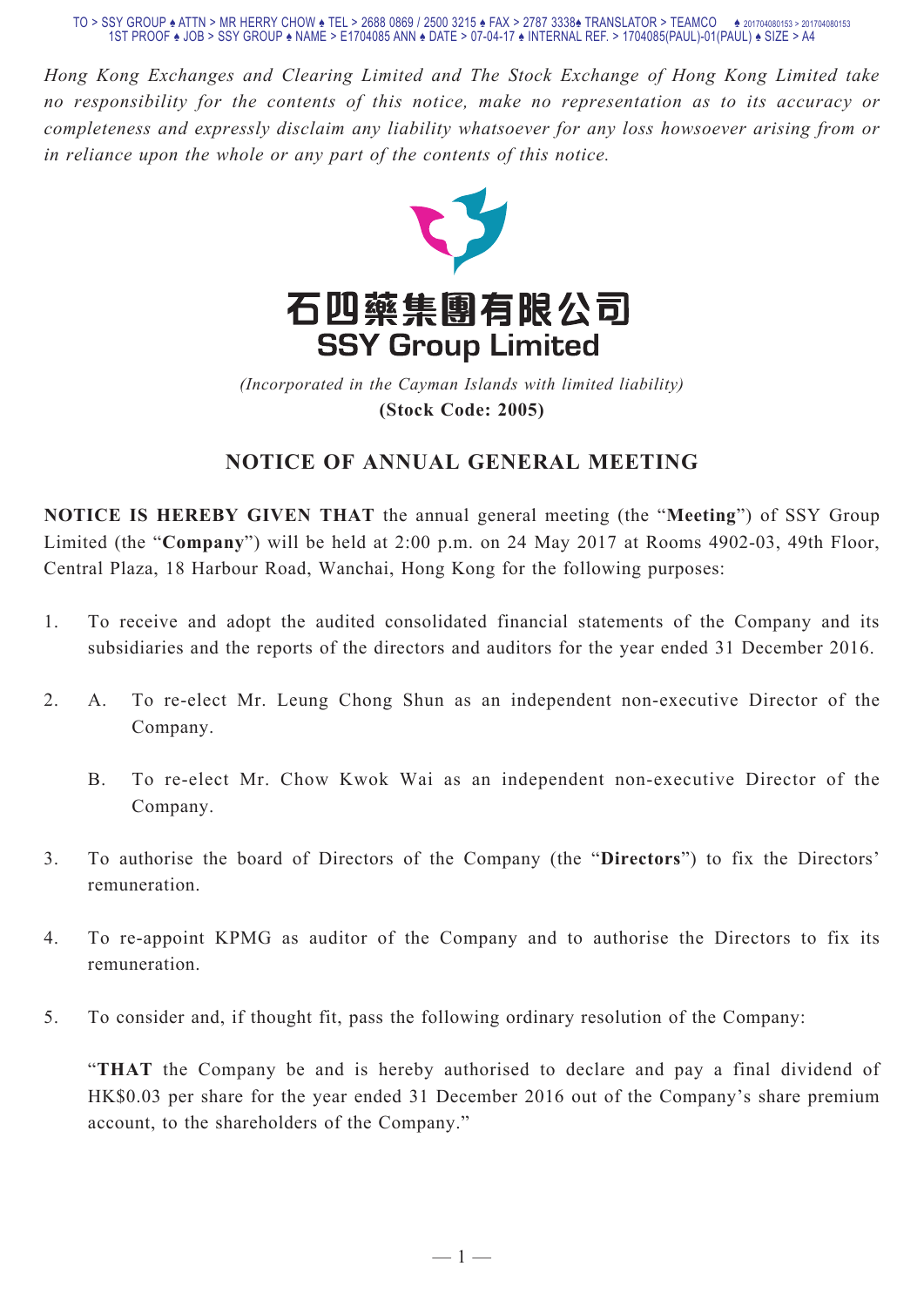*Hong Kong Exchanges and Clearing Limited and The Stock Exchange of Hong Kong Limited take no responsibility for the contents of this notice, make no representation as to its accuracy or completeness and expressly disclaim any liability whatsoever for any loss howsoever arising from or in reliance upon the whole or any part of the contents of this notice.*



(Incorporated in the Cayman Islands with limited liability) **(Stock Code: 2005)** *(Incorporated in the Cayman Islands with limited liability)* **(Stock Code: 2005)**

## **NOTICE OF ANNUAL GENERAL MEETING**

**NOTICE IS HEREBY GIVEN THAT** the annual general meeting (the "**Meeting**") of SSY Group Limited (the "**Company**") will be held at 2:00 p.m. on 24 May 2017 at Rooms 4902-03, 49th Floor, Central Plaza, 18 Harbour Road, Wanchai, Hong Kong for the following purposes:

- 1. To receive and adopt the audited consolidated financial statements of the Company and its subsidiaries and the reports of the directors and auditors for the year ended 31 December 2016.
- 2. A. To re-elect Mr. Leung Chong Shun as an independent non-executive Director of the Company.
	- B. To re-elect Mr. Chow Kwok Wai as an independent non-executive Director of the Company.
- 3. To authorise the board of Directors of the Company (the "**Directors**") to fix the Directors' remuneration.
- 4. To re-appoint KPMG as auditor of the Company and to authorise the Directors to fix its remuneration.
- 5. To consider and, if thought fit, pass the following ordinary resolution of the Company:

"**THAT** the Company be and is hereby authorised to declare and pay a final dividend of HK\$0.03 per share for the year ended 31 December 2016 out of the Company's share premium account, to the shareholders of the Company."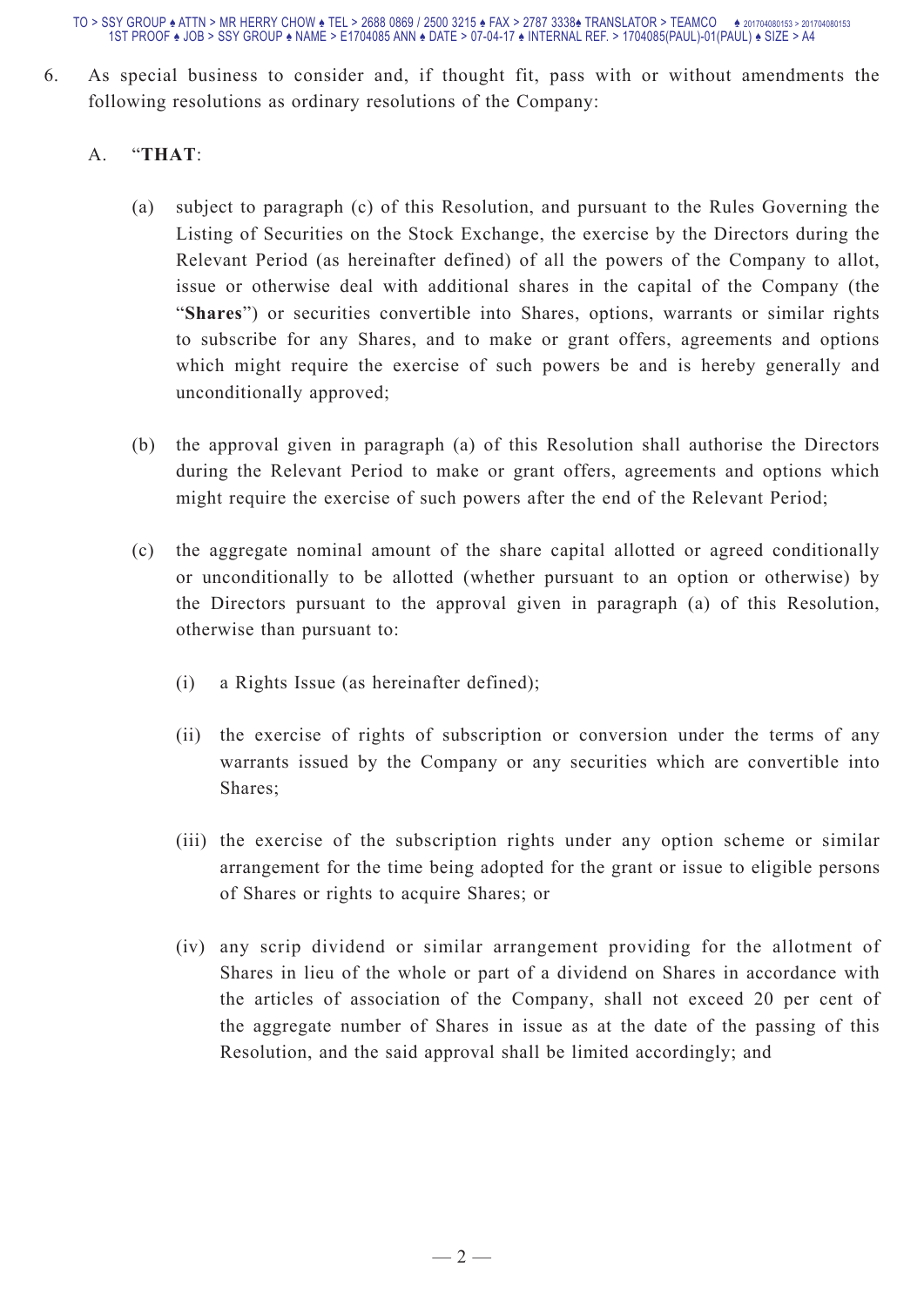6. As special business to consider and, if thought fit, pass with or without amendments the following resolutions as ordinary resolutions of the Company:

## A. "**THAT**:

- (a) subject to paragraph (c) of this Resolution, and pursuant to the Rules Governing the Listing of Securities on the Stock Exchange, the exercise by the Directors during the Relevant Period (as hereinafter defined) of all the powers of the Company to allot, issue or otherwise deal with additional shares in the capital of the Company (the "**Shares**") or securities convertible into Shares, options, warrants or similar rights to subscribe for any Shares, and to make or grant offers, agreements and options which might require the exercise of such powers be and is hereby generally and unconditionally approved;
- (b) the approval given in paragraph (a) of this Resolution shall authorise the Directors during the Relevant Period to make or grant offers, agreements and options which might require the exercise of such powers after the end of the Relevant Period;
- (c) the aggregate nominal amount of the share capital allotted or agreed conditionally or unconditionally to be allotted (whether pursuant to an option or otherwise) by the Directors pursuant to the approval given in paragraph (a) of this Resolution, otherwise than pursuant to:
	- (i) a Rights Issue (as hereinafter defined);
	- (ii) the exercise of rights of subscription or conversion under the terms of any warrants issued by the Company or any securities which are convertible into Shares;
	- (iii) the exercise of the subscription rights under any option scheme or similar arrangement for the time being adopted for the grant or issue to eligible persons of Shares or rights to acquire Shares; or
	- (iv) any scrip dividend or similar arrangement providing for the allotment of Shares in lieu of the whole or part of a dividend on Shares in accordance with the articles of association of the Company, shall not exceed 20 per cent of the aggregate number of Shares in issue as at the date of the passing of this Resolution, and the said approval shall be limited accordingly; and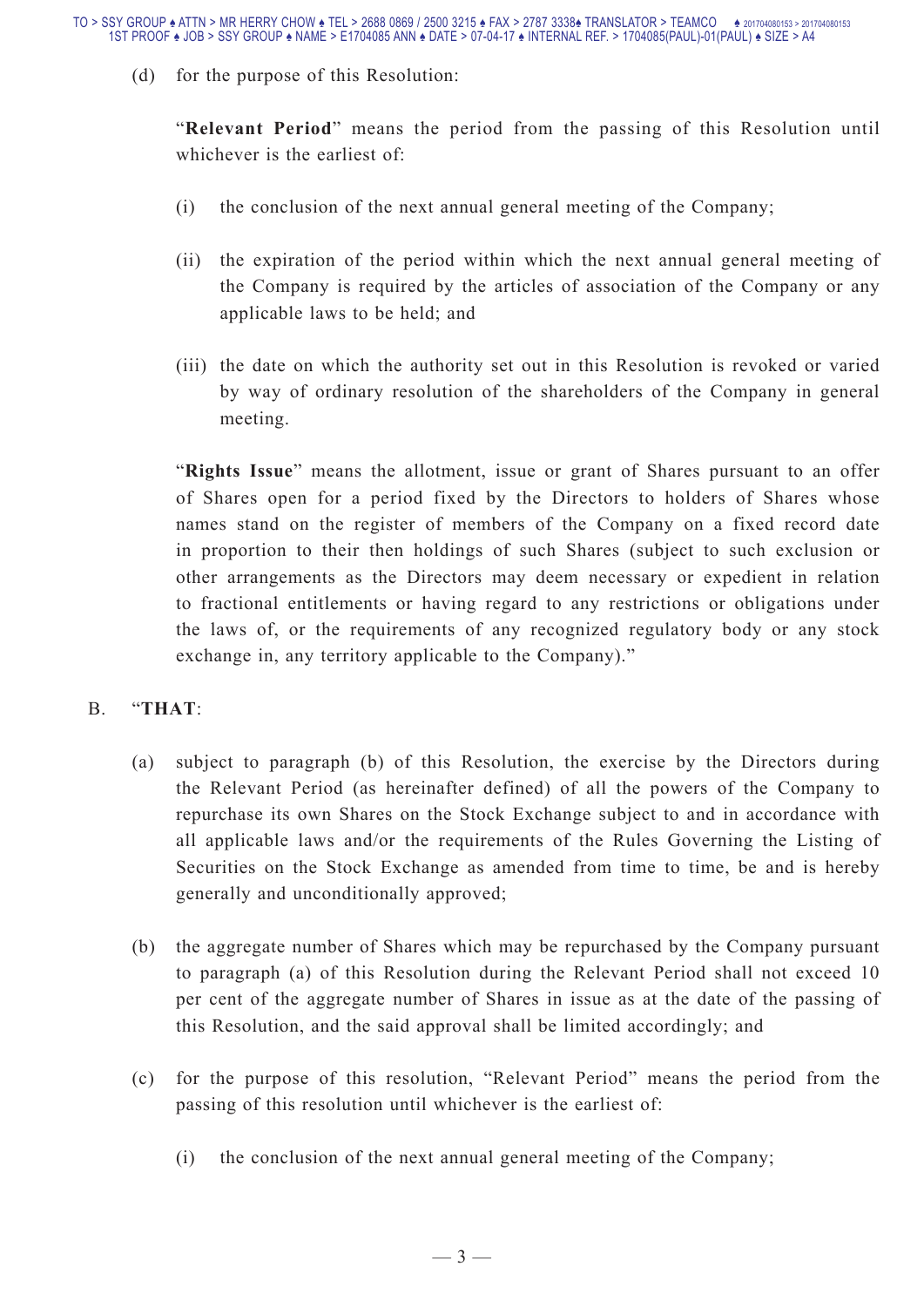(d) for the purpose of this Resolution:

"**Relevant Period**" means the period from the passing of this Resolution until whichever is the earliest of:

- (i) the conclusion of the next annual general meeting of the Company;
- (ii) the expiration of the period within which the next annual general meeting of the Company is required by the articles of association of the Company or any applicable laws to be held; and
- (iii) the date on which the authority set out in this Resolution is revoked or varied by way of ordinary resolution of the shareholders of the Company in general meeting.

"**Rights Issue**" means the allotment, issue or grant of Shares pursuant to an offer of Shares open for a period fixed by the Directors to holders of Shares whose names stand on the register of members of the Company on a fixed record date in proportion to their then holdings of such Shares (subject to such exclusion or other arrangements as the Directors may deem necessary or expedient in relation to fractional entitlements or having regard to any restrictions or obligations under the laws of, or the requirements of any recognized regulatory body or any stock exchange in, any territory applicable to the Company)."

## B. "**THAT**:

- (a) subject to paragraph (b) of this Resolution, the exercise by the Directors during the Relevant Period (as hereinafter defined) of all the powers of the Company to repurchase its own Shares on the Stock Exchange subject to and in accordance with all applicable laws and/or the requirements of the Rules Governing the Listing of Securities on the Stock Exchange as amended from time to time, be and is hereby generally and unconditionally approved;
- (b) the aggregate number of Shares which may be repurchased by the Company pursuant to paragraph (a) of this Resolution during the Relevant Period shall not exceed 10 per cent of the aggregate number of Shares in issue as at the date of the passing of this Resolution, and the said approval shall be limited accordingly; and
- (c) for the purpose of this resolution, "Relevant Period" means the period from the passing of this resolution until whichever is the earliest of:
	- (i) the conclusion of the next annual general meeting of the Company;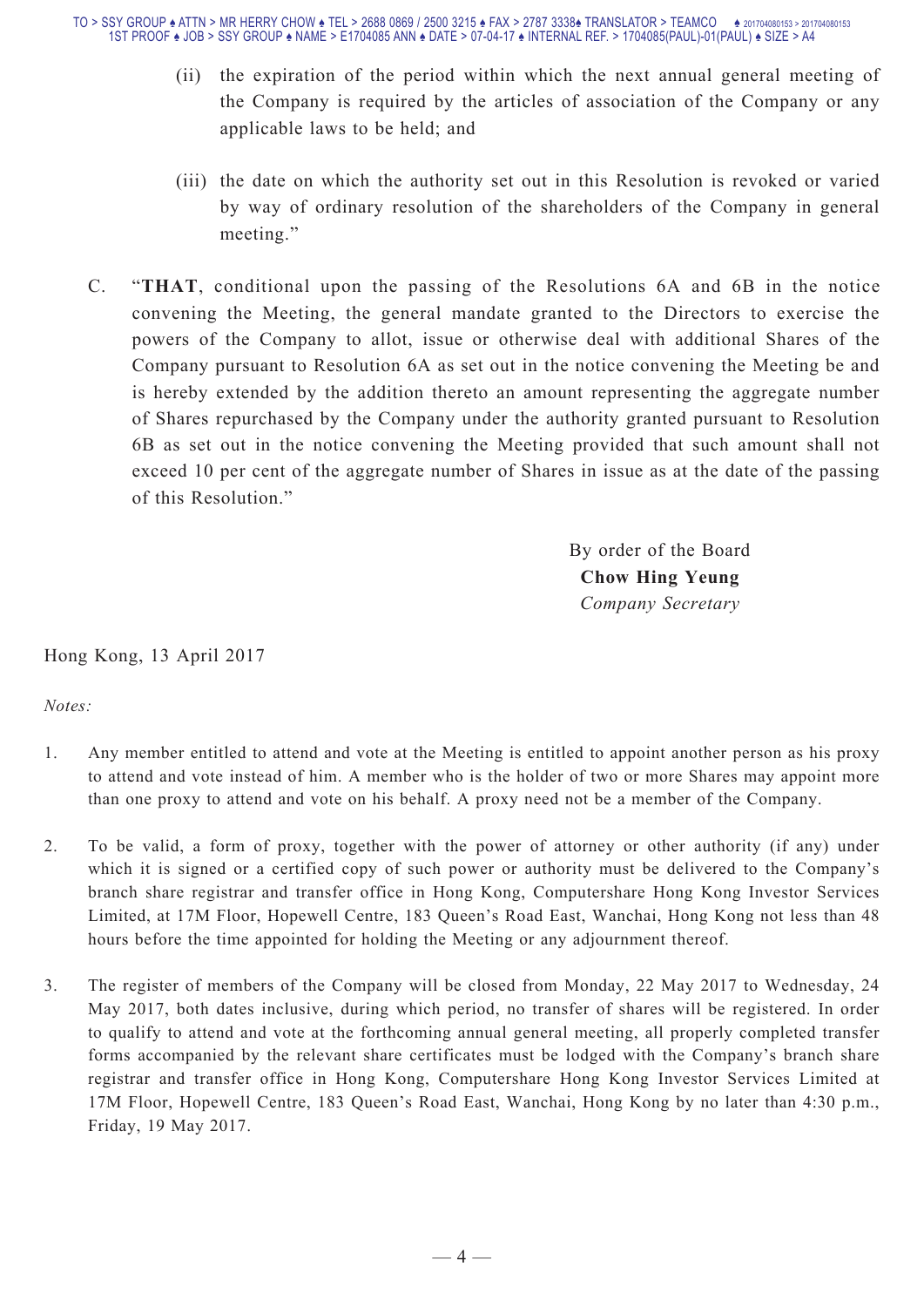- (ii) the expiration of the period within which the next annual general meeting of the Company is required by the articles of association of the Company or any applicable laws to be held; and
- (iii) the date on which the authority set out in this Resolution is revoked or varied by way of ordinary resolution of the shareholders of the Company in general meeting."
- C. "**THAT**, conditional upon the passing of the Resolutions 6A and 6B in the notice convening the Meeting, the general mandate granted to the Directors to exercise the powers of the Company to allot, issue or otherwise deal with additional Shares of the Company pursuant to Resolution 6A as set out in the notice convening the Meeting be and is hereby extended by the addition thereto an amount representing the aggregate number of Shares repurchased by the Company under the authority granted pursuant to Resolution 6B as set out in the notice convening the Meeting provided that such amount shall not exceed 10 per cent of the aggregate number of Shares in issue as at the date of the passing of this Resolution."

By order of the Board **Chow Hing Yeung** *Company Secretary*

Hong Kong, 13 April 2017

*Notes:*

- 1. Any member entitled to attend and vote at the Meeting is entitled to appoint another person as his proxy to attend and vote instead of him. A member who is the holder of two or more Shares may appoint more than one proxy to attend and vote on his behalf. A proxy need not be a member of the Company.
- 2. To be valid, a form of proxy, together with the power of attorney or other authority (if any) under which it is signed or a certified copy of such power or authority must be delivered to the Company's branch share registrar and transfer office in Hong Kong, Computershare Hong Kong Investor Services Limited, at 17M Floor, Hopewell Centre, 183 Queen's Road East, Wanchai, Hong Kong not less than 48 hours before the time appointed for holding the Meeting or any adjournment thereof.
- 3. The register of members of the Company will be closed from Monday, 22 May 2017 to Wednesday, 24 May 2017, both dates inclusive, during which period, no transfer of shares will be registered. In order to qualify to attend and vote at the forthcoming annual general meeting, all properly completed transfer forms accompanied by the relevant share certificates must be lodged with the Company's branch share registrar and transfer office in Hong Kong, Computershare Hong Kong Investor Services Limited at 17M Floor, Hopewell Centre, 183 Queen's Road East, Wanchai, Hong Kong by no later than 4:30 p.m., Friday, 19 May 2017.